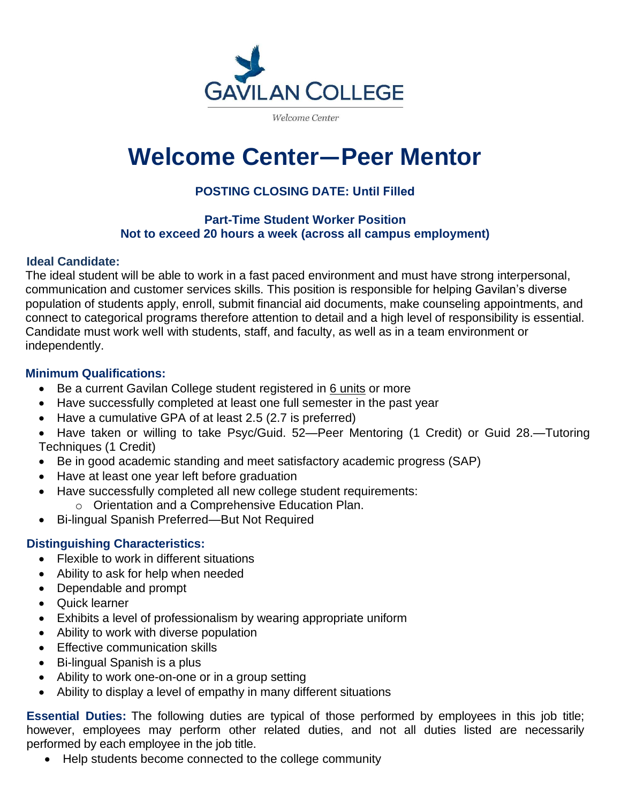

Welcome Center

# **Welcome Center—Peer Mentor**

# **POSTING CLOSING DATE: Until Filled**

#### **Part-Time Student Worker Position Not to exceed 20 hours a week (across all campus employment)**

#### **Ideal Candidate:**

The ideal student will be able to work in a fast paced environment and must have strong interpersonal, communication and customer services skills. This position is responsible for helping Gavilan's diverse population of students apply, enroll, submit financial aid documents, make counseling appointments, and connect to categorical programs therefore attention to detail and a high level of responsibility is essential. Candidate must work well with students, staff, and faculty, as well as in a team environment or independently.

#### **Minimum Qualifications:**

- Be a current Gavilan College student registered in 6 units or more
- Have successfully completed at least one full semester in the past year
- Have a cumulative GPA of at least 2.5 (2.7 is preferred)
- Have taken or willing to take Psyc/Guid. 52—Peer Mentoring (1 Credit) or Guid 28.—Tutoring Techniques (1 Credit)
- Be in good academic standing and meet satisfactory academic progress (SAP)
- Have at least one year left before graduation
- Have successfully completed all new college student requirements:
	- o Orientation and a Comprehensive Education Plan.
- Bi-lingual Spanish Preferred—But Not Required

# **Distinguishing Characteristics:**

- Flexible to work in different situations
- Ability to ask for help when needed
- Dependable and prompt
- Quick learner
- Exhibits a level of professionalism by wearing appropriate uniform
- Ability to work with diverse population
- Effective communication skills
- Bi-lingual Spanish is a plus
- Ability to work one-on-one or in a group setting
- Ability to display a level of empathy in many different situations

**Essential Duties:** The following duties are typical of those performed by employees in this job title; however, employees may perform other related duties, and not all duties listed are necessarily performed by each employee in the job title.

• Help students become connected to the college community